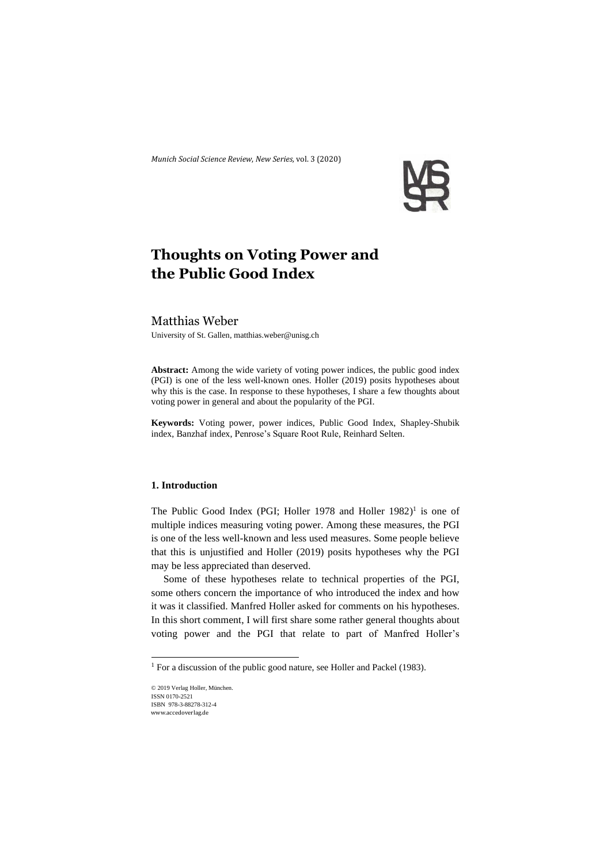*Munich Social Science Review*, *New Series,* vol. 3 (2020)



# **Thoughts on Voting Power and the Public Good Index**

# Matthias Weber

University of St. Gallen, [matthias.weber@unisg.ch](mailto:matthias.weber@unisg.ch)

**Abstract:** Among the wide variety of voting power indices, the public good index (PGI) is one of the less well-known ones. Holler (2019) posits hypotheses about why this is the case. In response to these hypotheses, I share a few thoughts about voting power in general and about the popularity of the PGI.

**Keywords:** Voting power, power indices, Public Good Index, Shapley-Shubik index, Banzhaf index, Penrose's Square Root Rule, Reinhard Selten.

# **1. Introduction**

The Public Good Index (PGI; Holler 1978 and Holler 1982)<sup>1</sup> is one of multiple indices measuring voting power. Among these measures, the PGI is one of the less well-known and less used measures. Some people believe that this is unjustified and Holler (2019) posits hypotheses why the PGI may be less appreciated than deserved.

Some of these hypotheses relate to technical properties of the PGI, some others concern the importance of who introduced the index and how it was it classified. Manfred Holler asked for comments on his hypotheses. In this short comment, I will first share some rather general thoughts about voting power and the PGI that relate to part of Manfred Holler's

<sup>&</sup>lt;sup>1</sup> For a discussion of the public good nature, see Holler and Packel (1983).

<sup>© 2019</sup> Verlag Holler, München. ISSN 0170-2521 ISBN 978-3-88278-312-4 www.accedoverlag.de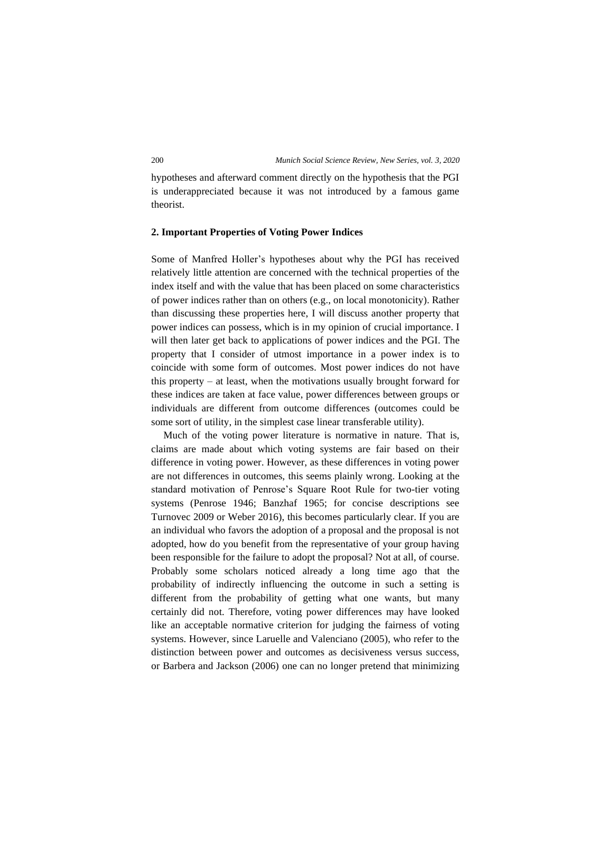hypotheses and afterward comment directly on the hypothesis that the PGI is underappreciated because it was not introduced by a famous game theorist.

#### **2. Important Properties of Voting Power Indices**

Some of Manfred Holler's hypotheses about why the PGI has received relatively little attention are concerned with the technical properties of the index itself and with the value that has been placed on some characteristics of power indices rather than on others (e.g., on local monotonicity). Rather than discussing these properties here, I will discuss another property that power indices can possess, which is in my opinion of crucial importance. I will then later get back to applications of power indices and the PGI. The property that I consider of utmost importance in a power index is to coincide with some form of outcomes. Most power indices do not have this property – at least, when the motivations usually brought forward for these indices are taken at face value, power differences between groups or individuals are different from outcome differences (outcomes could be some sort of utility, in the simplest case linear transferable utility).

Much of the voting power literature is normative in nature. That is, claims are made about which voting systems are fair based on their difference in voting power. However, as these differences in voting power are not differences in outcomes, this seems plainly wrong. Looking at the standard motivation of Penrose's Square Root Rule for two-tier voting systems (Penrose 1946; Banzhaf 1965; for concise descriptions see Turnovec 2009 or Weber 2016), this becomes particularly clear. If you are an individual who favors the adoption of a proposal and the proposal is not adopted, how do you benefit from the representative of your group having been responsible for the failure to adopt the proposal? Not at all, of course. Probably some scholars noticed already a long time ago that the probability of indirectly influencing the outcome in such a setting is different from the probability of getting what one wants, but many certainly did not. Therefore, voting power differences may have looked like an acceptable normative criterion for judging the fairness of voting systems. However, since Laruelle and Valenciano (2005), who refer to the distinction between power and outcomes as decisiveness versus success, or Barbera and Jackson (2006) one can no longer pretend that minimizing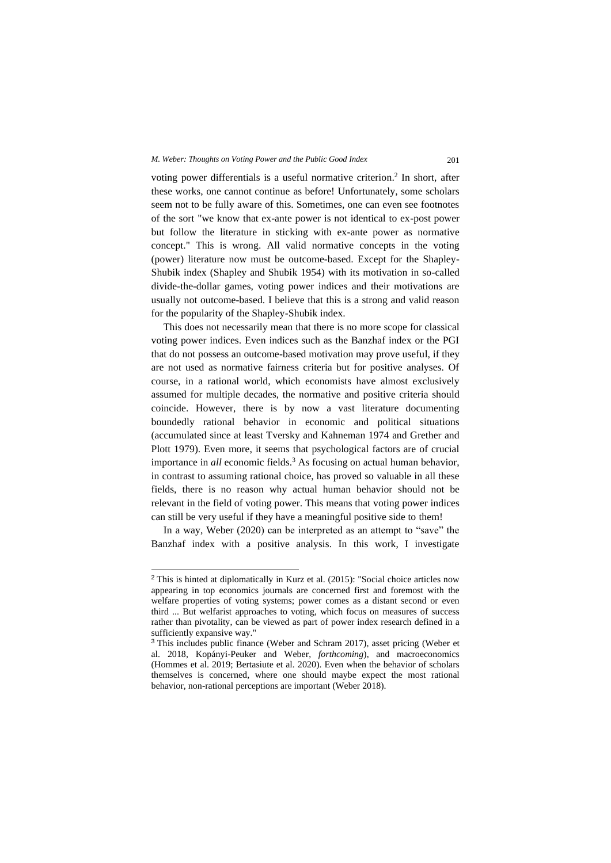## *M. Weber: Thoughts on Voting Power and the Public Good Index* 201

voting power differentials is a useful normative criterion.<sup>2</sup> In short, after these works, one cannot continue as before! Unfortunately, some scholars seem not to be fully aware of this. Sometimes, one can even see footnotes of the sort "we know that ex-ante power is not identical to ex-post power but follow the literature in sticking with ex-ante power as normative concept." This is wrong. All valid normative concepts in the voting (power) literature now must be outcome-based. Except for the Shapley-Shubik index (Shapley and Shubik 1954) with its motivation in so-called divide-the-dollar games, voting power indices and their motivations are usually not outcome-based. I believe that this is a strong and valid reason for the popularity of the Shapley-Shubik index.

This does not necessarily mean that there is no more scope for classical voting power indices. Even indices such as the Banzhaf index or the PGI that do not possess an outcome-based motivation may prove useful, if they are not used as normative fairness criteria but for positive analyses. Of course, in a rational world, which economists have almost exclusively assumed for multiple decades, the normative and positive criteria should coincide. However, there is by now a vast literature documenting boundedly rational behavior in economic and political situations (accumulated since at least Tversky and Kahneman 1974 and Grether and Plott 1979). Even more, it seems that psychological factors are of crucial importance in *all* economic fields.<sup>3</sup> As focusing on actual human behavior, in contrast to assuming rational choice, has proved so valuable in all these fields, there is no reason why actual human behavior should not be relevant in the field of voting power. This means that voting power indices can still be very useful if they have a meaningful positive side to them!

In a way, Weber (2020) can be interpreted as an attempt to "save" the Banzhaf index with a positive analysis. In this work, I investigate

<sup>2</sup> This is hinted at diplomatically in Kurz et al. (2015): "Social choice articles now appearing in top economics journals are concerned first and foremost with the welfare properties of voting systems; power comes as a distant second or even third ... But welfarist approaches to voting, which focus on measures of success rather than pivotality, can be viewed as part of power index research defined in a sufficiently expansive way."

<sup>3</sup> This includes public finance (Weber and Schram 2017), asset pricing (Weber et al. 2018, Kopányi-Peuker and Weber, *forthcoming*), and macroeconomics (Hommes et al. 2019; Bertasiute et al. 2020). Even when the behavior of scholars themselves is concerned, where one should maybe expect the most rational behavior, non-rational perceptions are important (Weber 2018).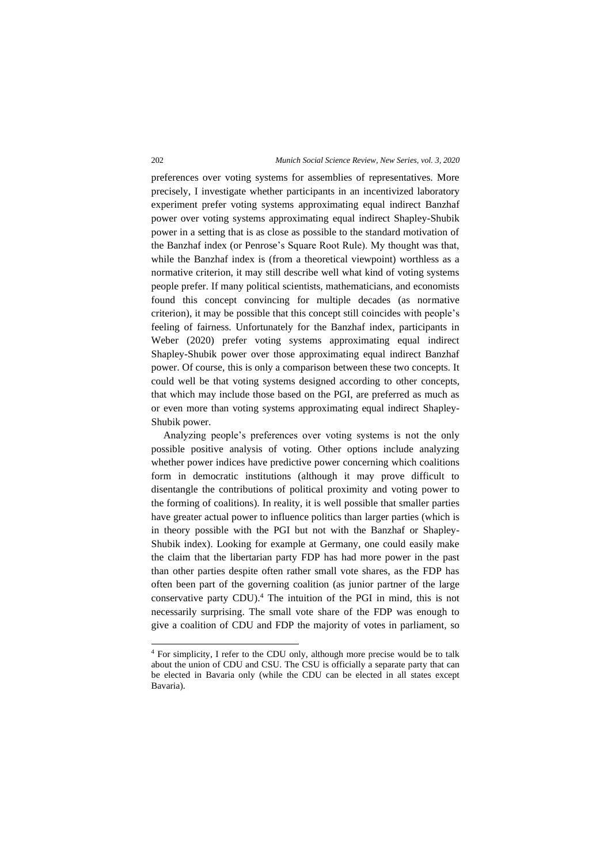preferences over voting systems for assemblies of representatives. More precisely, I investigate whether participants in an incentivized laboratory experiment prefer voting systems approximating equal indirect Banzhaf power over voting systems approximating equal indirect Shapley-Shubik power in a setting that is as close as possible to the standard motivation of the Banzhaf index (or Penrose's Square Root Rule). My thought was that, while the Banzhaf index is (from a theoretical viewpoint) worthless as a normative criterion, it may still describe well what kind of voting systems people prefer. If many political scientists, mathematicians, and economists found this concept convincing for multiple decades (as normative criterion), it may be possible that this concept still coincides with people's feeling of fairness. Unfortunately for the Banzhaf index, participants in Weber (2020) prefer voting systems approximating equal indirect Shapley-Shubik power over those approximating equal indirect Banzhaf power. Of course, this is only a comparison between these two concepts. It could well be that voting systems designed according to other concepts, that which may include those based on the PGI, are preferred as much as or even more than voting systems approximating equal indirect Shapley-Shubik power.

Analyzing people's preferences over voting systems is not the only possible positive analysis of voting. Other options include analyzing whether power indices have predictive power concerning which coalitions form in democratic institutions (although it may prove difficult to disentangle the contributions of political proximity and voting power to the forming of coalitions). In reality, it is well possible that smaller parties have greater actual power to influence politics than larger parties (which is in theory possible with the PGI but not with the Banzhaf or Shapley-Shubik index). Looking for example at Germany, one could easily make the claim that the libertarian party FDP has had more power in the past than other parties despite often rather small vote shares, as the FDP has often been part of the governing coalition (as junior partner of the large conservative party CDU). <sup>4</sup> The intuition of the PGI in mind, this is not necessarily surprising. The small vote share of the FDP was enough to give a coalition of CDU and FDP the majority of votes in parliament, so

<sup>4</sup> For simplicity, I refer to the CDU only, although more precise would be to talk about the union of CDU and CSU. The CSU is officially a separate party that can be elected in Bavaria only (while the CDU can be elected in all states except Bavaria).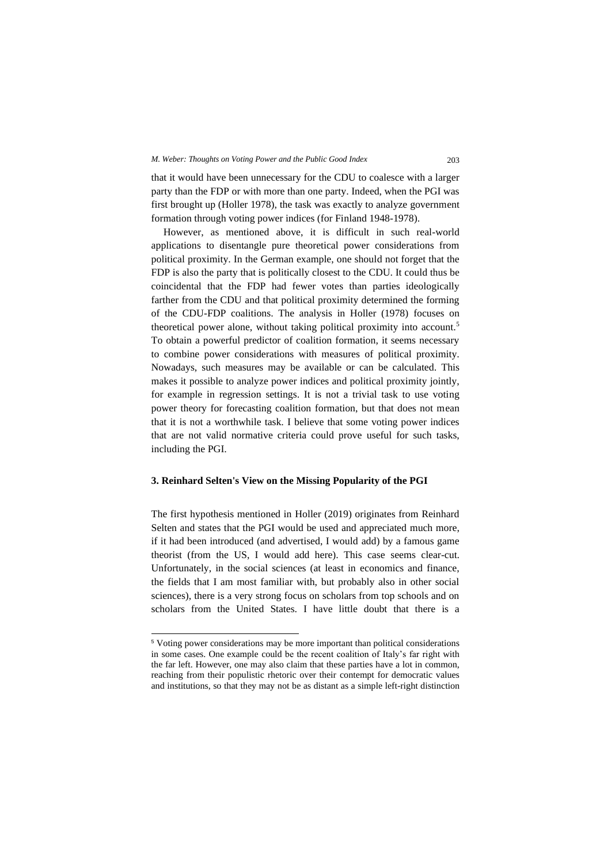that it would have been unnecessary for the CDU to coalesce with a larger party than the FDP or with more than one party. Indeed, when the PGI was first brought up (Holler 1978), the task was exactly to analyze government formation through voting power indices (for Finland 1948-1978).

However, as mentioned above, it is difficult in such real-world applications to disentangle pure theoretical power considerations from political proximity. In the German example, one should not forget that the FDP is also the party that is politically closest to the CDU. It could thus be coincidental that the FDP had fewer votes than parties ideologically farther from the CDU and that political proximity determined the forming of the CDU-FDP coalitions. The analysis in Holler (1978) focuses on theoretical power alone, without taking political proximity into account.<sup>5</sup> To obtain a powerful predictor of coalition formation, it seems necessary to combine power considerations with measures of political proximity. Nowadays, such measures may be available or can be calculated. This makes it possible to analyze power indices and political proximity jointly, for example in regression settings. It is not a trivial task to use voting power theory for forecasting coalition formation, but that does not mean that it is not a worthwhile task. I believe that some voting power indices that are not valid normative criteria could prove useful for such tasks, including the PGI.

### **3. Reinhard Selten's View on the Missing Popularity of the PGI**

The first hypothesis mentioned in Holler (2019) originates from Reinhard Selten and states that the PGI would be used and appreciated much more, if it had been introduced (and advertised, I would add) by a famous game theorist (from the US, I would add here). This case seems clear-cut. Unfortunately, in the social sciences (at least in economics and finance, the fields that I am most familiar with, but probably also in other social sciences), there is a very strong focus on scholars from top schools and on scholars from the United States. I have little doubt that there is a

<sup>5</sup> Voting power considerations may be more important than political considerations in some cases. One example could be the recent coalition of Italy's far right with the far left. However, one may also claim that these parties have a lot in common, reaching from their populistic rhetoric over their contempt for democratic values and institutions, so that they may not be as distant as a simple left-right distinction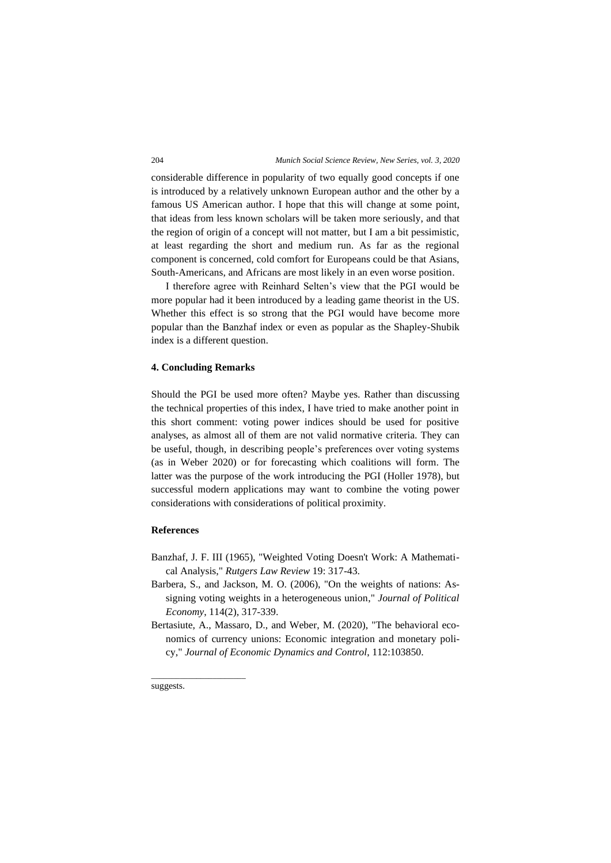considerable difference in popularity of two equally good concepts if one is introduced by a relatively unknown European author and the other by a famous US American author. I hope that this will change at some point, that ideas from less known scholars will be taken more seriously, and that the region of origin of a concept will not matter, but I am a bit pessimistic, at least regarding the short and medium run. As far as the regional component is concerned, cold comfort for Europeans could be that Asians, South-Americans, and Africans are most likely in an even worse position.

I therefore agree with Reinhard Selten's view that the PGI would be more popular had it been introduced by a leading game theorist in the US. Whether this effect is so strong that the PGI would have become more popular than the Banzhaf index or even as popular as the Shapley-Shubik index is a different question.

#### **4. Concluding Remarks**

Should the PGI be used more often? Maybe yes. Rather than discussing the technical properties of this index, I have tried to make another point in this short comment: voting power indices should be used for positive analyses, as almost all of them are not valid normative criteria. They can be useful, though, in describing people's preferences over voting systems (as in Weber 2020) or for forecasting which coalitions will form. The latter was the purpose of the work introducing the PGI (Holler 1978), but successful modern applications may want to combine the voting power considerations with considerations of political proximity.

## **References**

- Banzhaf, J. F. III (1965), "Weighted Voting Doesn't Work: A Mathematical Analysis," *Rutgers Law Review* 19: 317-43.
- Barbera, S., and Jackson, M. O. (2006), "On the weights of nations: Assigning voting weights in a heterogeneous union," *Journal of Political Economy*, 114(2), 317-339.
- Bertasiute, A., Massaro, D., and Weber, M. (2020), "The behavioral economics of currency unions: Economic integration and monetary policy," *Journal of Economic Dynamics and Control*, 112:103850.

suggests.

\_\_\_\_\_\_\_\_\_\_\_\_\_\_\_\_\_\_\_\_\_\_\_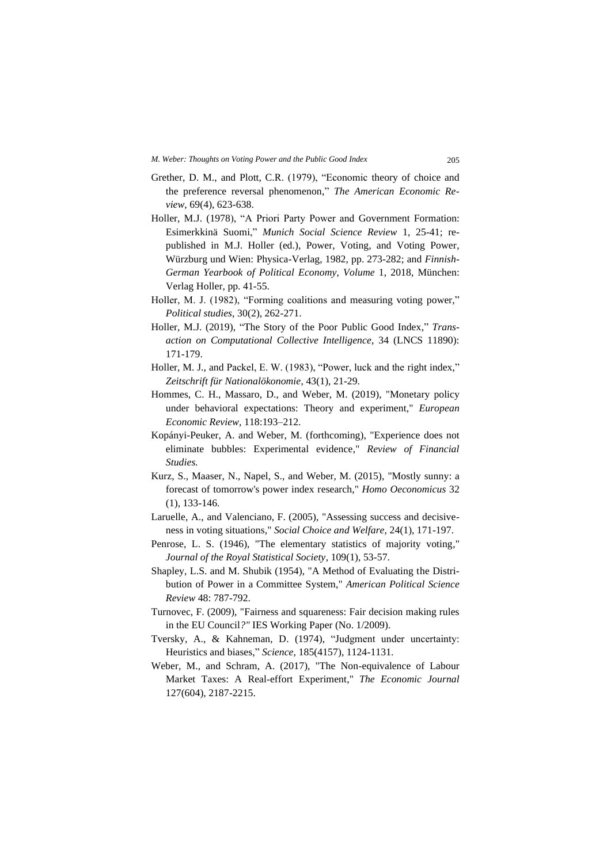- Grether, D. M., and Plott, C.R. (1979), "Economic theory of choice and the preference reversal phenomenon," *The American Economic Review*, 69(4), 623-638.
- Holler, M.J. (1978), "A Priori Party Power and Government Formation: Esimerkkinä Suomi," *Munich Social Science Review* 1, 25-41; republished in M.J. Holler (ed.), Power, Voting, and Voting Power, Würzburg und Wien: Physica-Verlag, 1982, pp. 273-282; and *Finnish-German Yearbook of Political Economy, Volume* 1, 2018, München: Verlag Holler, pp. 41-55.
- Holler, M. J. (1982), "Forming coalitions and measuring voting power," *Political studies*, 30(2), 262-271.
- Holler, M.J. (2019), "The Story of the Poor Public Good Index," *Transaction on Computational Collective Intelligence*, 34 (LNCS 11890): 171-179.
- Holler, M. J., and Packel, E. W. (1983), "Power, luck and the right index," *Zeitschrift für Nationalökonomie*, 43(1), 21-29.
- Hommes, C. H., Massaro, D., and Weber, M. (2019), "Monetary policy under behavioral expectations: Theory and experiment," *European Economic Review,* 118:193–212.
- Kopányi-Peuker, A. and Weber, M. (forthcoming), "Experience does not eliminate bubbles: Experimental evidence," *Review of Financial Studies.*
- Kurz, S., Maaser, N., Napel, S., and Weber, M. (2015), "Mostly sunny: a forecast of tomorrow's power index research," *Homo Oeconomicus* 32 (1), 133-146.
- Laruelle, A., and Valenciano, F. (2005), "Assessing success and decisiveness in voting situations," *Social Choice and Welfare*, 24(1), 171-197.
- Penrose, L. S. (1946), "The elementary statistics of majority voting," *Journal of the Royal Statistical Society*, 109(1), 53-57.
- Shapley, L.S. and M. Shubik (1954), "A Method of Evaluating the Distribution of Power in a Committee System," *American Political Science Review* 48: 787-792.
- Turnovec, F. (2009), "Fairness and squareness: Fair decision making rules in the EU Council*?"* IES Working Paper (No. 1/2009).
- Tversky, A., & Kahneman, D. (1974), "Judgment under uncertainty: Heuristics and biases," *Science*, 185(4157), 1124-1131.
- Weber, M., and Schram, A. (2017), "The Non-equivalence of Labour Market Taxes: A Real‐effort Experiment," *The Economic Journal* 127(604), 2187-2215.